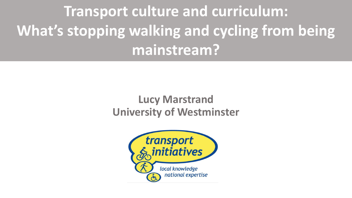**Transport culture and curriculum: What's stopping walking and cycling from being mainstream?**

# **Lucy Marstrand University of Westminster**

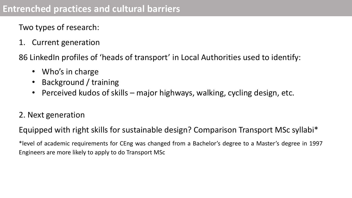Two types of research:

1. Current generation

86 LinkedIn profiles of 'heads of transport' in Local Authorities used to identify:

- Who's in charge
- Background / training
- Perceived kudos of skills major highways, walking, cycling design, etc.

#### 2. Next generation

Equipped with right skills for sustainable design? Comparison Transport MSc syllabi\*

\*level of academic requirements for CEng was changed from a Bachelor's degree to a Master's degree in 1997 Engineers are more likely to apply to do Transport MSc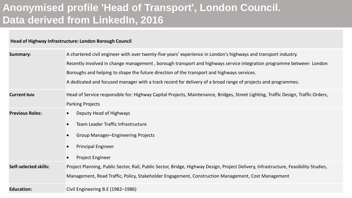# **Anonymised profile 'Head of Transport', London Council. Data derived from LinkedIn, 2016**

**Head of Highway Infrastructure: London Borough Council**

| <b>Summary:</b>              | A chartered civil engineer with over twenty-five years' experience in London's highways and transport industry.                      |
|------------------------------|--------------------------------------------------------------------------------------------------------------------------------------|
|                              | Recently involved in change management, borough transport and highways service integration programme between London                  |
|                              | Boroughs and helping to shape the future direction of the transport and highways services.                                           |
|                              | A dedicated and focused manager with a track record for delivery of a broad range of projects and programmes.                        |
| <b>Current Role</b>          | Head of Service responsible for: Highway Capital Projects, Maintenance, Bridges, Street Lighting, Traffic Design, Traffic Orders,    |
|                              | <b>Parking Projects</b>                                                                                                              |
| <b>Previous Roles:</b>       | Deputy Head of Highways                                                                                                              |
|                              | Team Leader Traffic Infrastructure                                                                                                   |
|                              | <b>Group Manager-Engineering Projects</b>                                                                                            |
|                              | <b>Principal Engineer</b>                                                                                                            |
|                              | <b>Project Engineer</b>                                                                                                              |
| <b>Self-selected skills:</b> | Project Planning, Public Sector, Rail, Public Sector, Bridge, Highway Design, Project Delivery, Infrastructure, Feasibility Studies, |
|                              | Management, Road Traffic, Policy, Stakeholder Engagement, Construction Management, Cost Management                                   |
| <b>Education:</b>            | Civil Engineering B.E (1982-1986)                                                                                                    |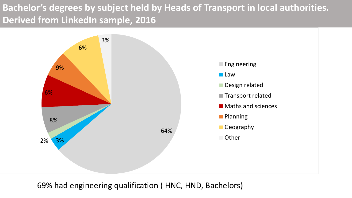## **Bachelor's degrees by subject held by Heads of Transport in local authorities. Derived from LinkedIn sample, 2016**



69% had engineering qualification ( HNC, HND, Bachelors)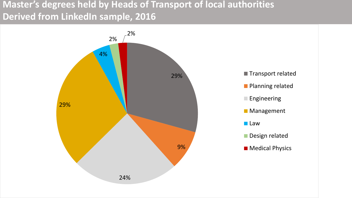### **Master's degrees held by Heads of Transport of local authorities Derived from LinkedIn sample, 2016**

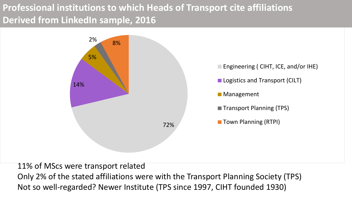## **Professional institutions to which Heads of Transport cite affiliations Derived from LinkedIn sample, 2016**



11% of MScs were transport related Only 2% of the stated affiliations were with the Transport Planning Society (TPS) Not so well-regarded? Newer Institute (TPS since 1997, CIHT founded 1930)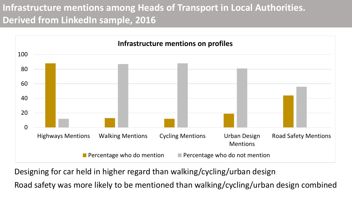## **Infrastructure mentions among Heads of Transport in Local Authorities. Derived from LinkedIn sample, 2016**



Designing for car held in higher regard than walking/cycling/urban design

Road safety was more likely to be mentioned than walking/cycling/urban design combined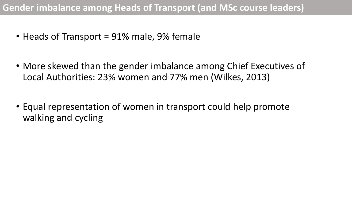- Heads of Transport = 91% male, 9% female
- More skewed than the gender imbalance among Chief Executives of Local Authorities: 23% women and 77% men (Wilkes, 2013)
- Equal representation of women in transport could help promote walking and cycling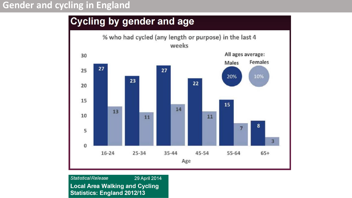#### **Gender and cycling in England**

### **Cycling by gender and age**



**Statistical Release** 29 April 2014 **Local Area Walking and Cycling Statistics: England 2012/13**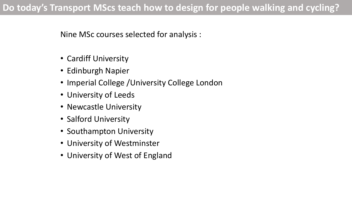Nine MSc courses selected for analysis :

- Cardiff University
- Edinburgh Napier
- Imperial College / University College London
- University of Leeds
- Newcastle University
- Salford University
- Southampton University
- University of Westminster
- University of West of England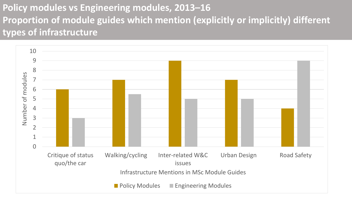## **Policy modules vs Engineering modules, 2013–16 Proportion of module guides which mention (explicitly or implicitly) different types of infrastructure**

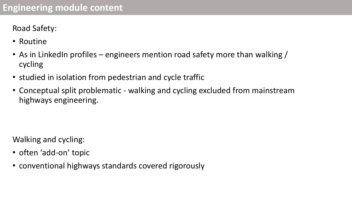Road Safety:

- Routine
- As in LinkedIn profiles engineers mention road safety more than walking / cycling
- studied in isolation from pedestrian and cycle traffic
- Conceptual split problematic walking and cycling excluded from mainstream highways engineering.

Walking and cycling:

- often 'add-on' topic
- conventional highways standards covered rigorously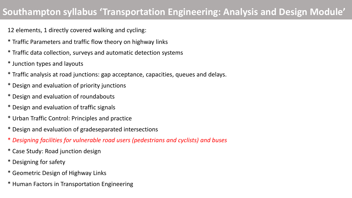### **Southampton syllabus 'Transportation Engineering: Analysis and Design Module'**

12 elements, 1 directly covered walking and cycling:

- \* Traffic Parameters and traffic flow theory on highway links
- \* Traffic data collection, surveys and automatic detection systems
- \* Junction types and layouts
- \* Traffic analysis at road junctions: gap acceptance, capacities, queues and delays.
- \* Design and evaluation of priority junctions
- \* Design and evaluation of roundabouts
- \* Design and evaluation of traffic signals
- \* Urban Traffic Control: Principles and practice
- \* Design and evaluation of gradeseparated intersections
- \* *Designing facilities for vulnerable road users (pedestrians and cyclists) and buses*
- \* Case Study: Road junction design
- \* Designing for safety
- \* Geometric Design of Highway Links
- \* Human Factors in Transportation Engineering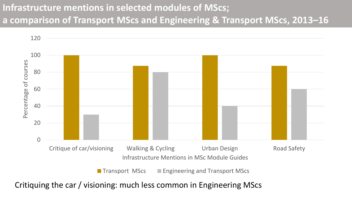## **Infrastructure mentions in selected modules of MScs; a comparison of Transport MScs and Engineering & Transport MScs, 2013–16**



Critiquing the car / visioning: much less common in Engineering MScs